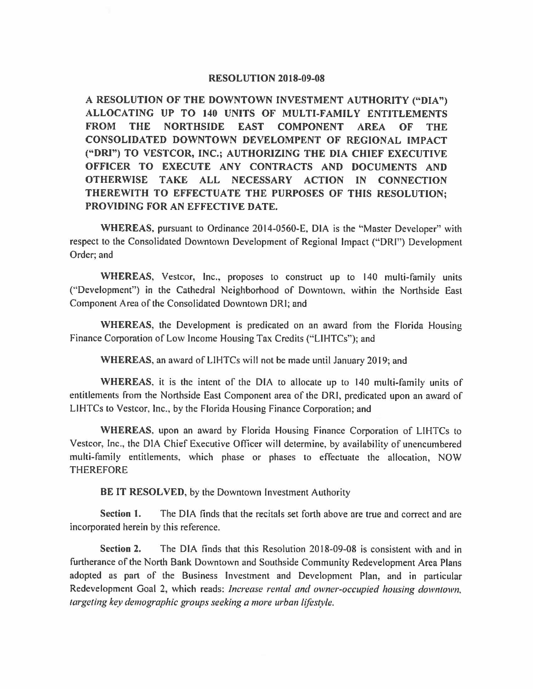## **RESOLUTION 2018-09-08**

**A RESOLUTION OF THE DOWNTOWN INVESTMENT AUTHORITY ("DIA") ALLOCATING UP TO 140 UNITS OF MULTI-FAMILY ENTITLEMENTS FROM THE NORTHSIDE EAST COMPONENT AREA OF THE CONSOLIDATED DOWNTOWN DEVELOMPENT OF REGIONAL IMPACT ("DRI") TO VESTCOR, INC.; AUTHORIZING THE DIA CHIEF EXECUTIVE OFFICER TO EXECUTE ANY CONTRACTS AND DOCUMENTS AND OTHERWISE TAKE ALL NECESSARY ACTION IN CONNECTION THEREWITH TO EFFECTUATE THE PURPOSES OF THIS RESOLUTION; PROVIDING FOR AN EFFECTIVE DATE.** 

**WHEREAS,** pursuant to Ordinance 2014-0560-E, DIA is the "Master Developer" with respect to the Consolidated Downtown Development of Regional Impact ("DRI") Development Order; and

**WHEREAS,** Vestcor, Inc., proposes to construct up to 140 multi-family units (''Development") in the Cathedral Neighborhood of Downtown, within the Northside East Component Area of the Consolidated Downtown ORI; and

**WHEREAS,** the Development is predicated on an award from the Florida Housing Finance Corporation of Low Income Housing Tax Credits ("LIHTCs"); and

**WHEREAS,** an award of LIHTCs will not be made until January 2019; and

**WHEREAS,** it is the intent of the DIA to allocate up to 140 multi-family units of entitlements from the Northside East Component area of the DRJ, predicated upon an award of LIHTCs to Vestcor, Inc., by the Florida Housing Finance Corporation; and

**WHEREAS,** upon an award by Florida Housing Finance Corporation of LIHTCs to Vestcor, Inc., the DIA Chief Executive Officer will determine, by availability of unencumbered multi-family entitlements, which phase or phases to effectuate the allocation, NOW THEREFORE

**BE IT RESOLVED,** by the Downtown Investment Authority

**Section 1.** The DIA finds that the recitals set forth above are true and correct and are incorporated herein by this reference.

**Section 2.** The DIA finds that this Resolution 2018-09-08 is consistent with and in furtherance of the North Bank Downtown and Southside Community Redevelopment Area Plans adopted as part of the Business Investment and Development Plan, and in particular Redevelopment Goal 2, which reads: *Increase rental and owner-occupied housing downtown. targeting key demographic groups seeking a more urban lifestyle.*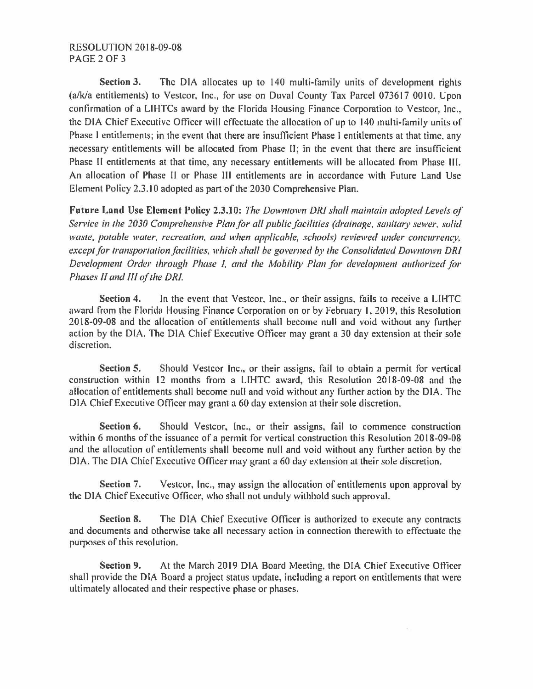**Section 3.** The DIA allocates up to 140 multi-family units of development rights  $(a/k/a$  entitlements) to Vestcor, Inc., for use on Duval County Tax Parcel 073617 0010. Upon confirmation of a LIHTCs award by the Florida Housing Finance Corporation to Vestcor, Inc., the DIA Chief Executive Officer will effectuate the allocation of up to 140 multi-family units of Phase I entitlements; in the event that there are insufficient Phase I entitlements at that time, any necessary entitlements will be allocated from Phase II; in the event that there are insufficient Phase II entitlements at that time, any necessary entitlements will be allocated from Phase III. An allocation of Phase II or Phase Ill entitlements are in accordance with Future Land Use Element Policy 2.3.10 adopted as part of the 2030 Comprehensive Plan.

**Future Land Use Element Policy 2.3.10:** *The Downtown DR! shall maintain adopted levels of Service in the 2030 Comprehensive Plan for all public facilities (drainage, sanitary sewer. solid waste, potable water, recreation, and when applicable, schools) reviewed under concurrency, except for transportation facilities, which shall be governed by the Consolidated Downtown DRI Development Order through Phase I, and the Mobility Plan for development authorized for Phases* JI *and* Ill *of the DR!.* 

**Section 4.** In the event that Vestcor, Inc., or their assigns, fails to receive a LIHTC award from the Florida Housing Finance Corporation on or by February I, 2019, this Resolution 2018-09-08 and the allocation of entitlements shall become null and void without any further action by the DIA. The DIA Chief Executive Officer may grant a 30 day extension at their sole discretion.

**Section 5.** Should Vestcor Inc., or their assigns, fail to obtain a permit for vertical construction within 12 months from a LIHTC award, this Resolution 2018-09-08 and the allocation of entitlements shall become null and void without any further action by the DIA. The DIA Chief Executive Officer may grant a 60 day extension at their sole discretion.

**Section 6.** Should Vestcor, Inc., or their assigns, fail to commence construction within 6 months of the issuance of a permit for vertical construction this Resolution 2018-09-08 and the allocation of entitlements shall become null and void without any further action by the DIA. The DIA Chief Executive Officer may grant a 60 day extension at their sole discretion.

**Section 7.** Vestcor, Inc., may assign the allocation of entitlements upon approval by the DIA Chief Executive Officer, who shall not unduly withhold such approval.

**Section 8.** The DIA Chief Executive Officer is authorized to execute any contracts and documents and otherwise take all necessary action in connection therewith to effectuate the purposes of this resolution.

**Section 9.** At the March 2019 DIA Board Meeting, the DIA Chief Executive Officer shall provide the DIA Board a project status update, including a report on entitlements that were ultimately allocated and their respective phase or phases.